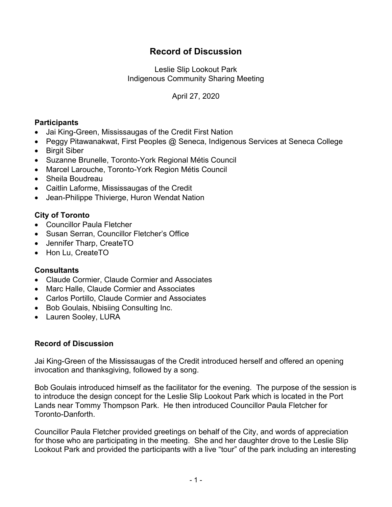# **Record of Discussion**

Leslie Slip Lookout Park Indigenous Community Sharing Meeting

April 27, 2020

## **Participants**

- Jai King-Green, Mississaugas of the Credit First Nation
- Peggy Pitawanakwat, First Peoples @ Seneca, Indigenous Services at Seneca College
- Birgit Siber
- Suzanne Brunelle, Toronto-York Regional Métis Council
- Marcel Larouche, Toronto-York Region Métis Council
- Sheila Boudreau
- Caitlin Laforme, Mississaugas of the Credit
- Jean-Philippe Thivierge, Huron Wendat Nation

### **City of Toronto**

- Councillor Paula Fletcher
- Susan Serran, Councillor Fletcher's Office
- Jennifer Tharp, CreateTO
- Hon Lu, CreateTO

### **Consultants**

- Claude Cormier, Claude Cormier and Associates
- Marc Halle, Claude Cormier and Associates
- Carlos Portillo, Claude Cormier and Associates
- Bob Goulais, Nbisiing Consulting Inc.
- Lauren Sooley, LURA

#### **Record of Discussion**

Jai King-Green of the Mississaugas of the Credit introduced herself and offered an opening invocation and thanksgiving, followed by a song.

Bob Goulais introduced himself as the facilitator for the evening. The purpose of the session is to introduce the design concept for the Leslie Slip Lookout Park which is located in the Port Lands near Tommy Thompson Park. He then introduced Councillor Paula Fletcher for Toronto-Danforth.

Councillor Paula Fletcher provided greetings on behalf of the City, and words of appreciation for those who are participating in the meeting. She and her daughter drove to the Leslie Slip Lookout Park and provided the participants with a live "tour" of the park including an interesting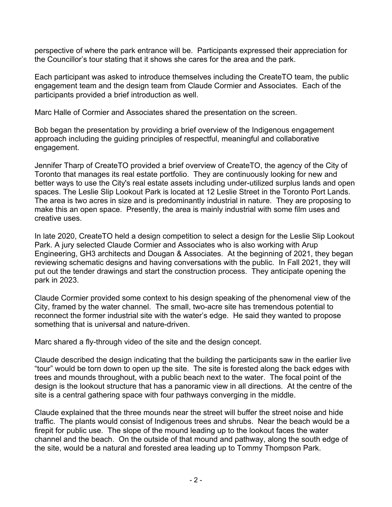perspective of where the park entrance will be. Participants expressed their appreciation for the Councillor's tour stating that it shows she cares for the area and the park.

Each participant was asked to introduce themselves including the CreateTO team, the public engagement team and the design team from Claude Cormier and Associates. Each of the participants provided a brief introduction as well.

Marc Halle of Cormier and Associates shared the presentation on the screen.

Bob began the presentation by providing a brief overview of the Indigenous engagement approach including the guiding principles of respectful, meaningful and collaborative engagement.

Jennifer Tharp of CreateTO provided a brief overview of CreateTO, the agency of the City of Toronto that manages its real estate portfolio. They are continuously looking for new and better ways to use the City's real estate assets including under-utilized surplus lands and open spaces. The Leslie Slip Lookout Park is located at 12 Leslie Street in the Toronto Port Lands. The area is two acres in size and is predominantly industrial in nature. They are proposing to make this an open space. Presently, the area is mainly industrial with some film uses and creative uses.

In late 2020, CreateTO held a design competition to select a design for the Leslie Slip Lookout Park. A jury selected Claude Cormier and Associates who is also working with Arup Engineering, GH3 architects and Dougan & Associates. At the beginning of 2021, they began reviewing schematic designs and having conversations with the public. In Fall 2021, they will put out the tender drawings and start the construction process. They anticipate opening the park in 2023.

Claude Cormier provided some context to his design speaking of the phenomenal view of the City, framed by the water channel. The small, two-acre site has tremendous potential to reconnect the former industrial site with the water's edge. He said they wanted to propose something that is universal and nature-driven.

Marc shared a fly-through video of the site and the design concept.

Claude described the design indicating that the building the participants saw in the earlier live "tour" would be torn down to open up the site. The site is forested along the back edges with trees and mounds throughout, with a public beach next to the water. The focal point of the design is the lookout structure that has a panoramic view in all directions. At the centre of the site is a central gathering space with four pathways converging in the middle.

Claude explained that the three mounds near the street will buffer the street noise and hide traffic. The plants would consist of Indigenous trees and shrubs. Near the beach would be a firepit for public use. The slope of the mound leading up to the lookout faces the water channel and the beach. On the outside of that mound and pathway, along the south edge of the site, would be a natural and forested area leading up to Tommy Thompson Park.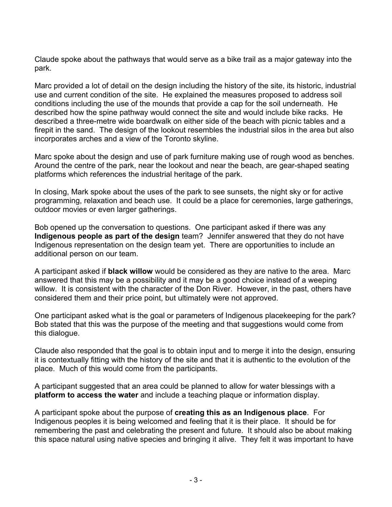Claude spoke about the pathways that would serve as a bike trail as a major gateway into the park.

Marc provided a lot of detail on the design including the history of the site, its historic, industrial use and current condition of the site. He explained the measures proposed to address soil conditions including the use of the mounds that provide a cap for the soil underneath. He described how the spine pathway would connect the site and would include bike racks. He described a three-metre wide boardwalk on either side of the beach with picnic tables and a firepit in the sand. The design of the lookout resembles the industrial silos in the area but also incorporates arches and a view of the Toronto skyline.

Marc spoke about the design and use of park furniture making use of rough wood as benches. Around the centre of the park, near the lookout and near the beach, are gear-shaped seating platforms which references the industrial heritage of the park.

In closing, Mark spoke about the uses of the park to see sunsets, the night sky or for active programming, relaxation and beach use. It could be a place for ceremonies, large gatherings, outdoor movies or even larger gatherings.

Bob opened up the conversation to questions. One participant asked if there was any **Indigenous people as part of the design** team? Jennifer answered that they do not have Indigenous representation on the design team yet. There are opportunities to include an additional person on our team.

A participant asked if **black willow** would be considered as they are native to the area. Marc answered that this may be a possibility and it may be a good choice instead of a weeping willow. It is consistent with the character of the Don River. However, in the past, others have considered them and their price point, but ultimately were not approved.

One participant asked what is the goal or parameters of Indigenous placekeeping for the park? Bob stated that this was the purpose of the meeting and that suggestions would come from this dialogue.

Claude also responded that the goal is to obtain input and to merge it into the design, ensuring it is contextually fitting with the history of the site and that it is authentic to the evolution of the place. Much of this would come from the participants.

A participant suggested that an area could be planned to allow for water blessings with a **platform to access the water** and include a teaching plaque or information display.

A participant spoke about the purpose of **creating this as an Indigenous place**. For Indigenous peoples it is being welcomed and feeling that it is their place. It should be for remembering the past and celebrating the present and future. It should also be about making this space natural using native species and bringing it alive. They felt it was important to have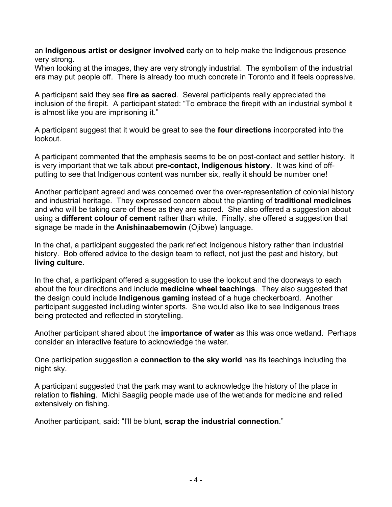an **Indigenous artist or designer involved** early on to help make the Indigenous presence very strong.

When looking at the images, they are very strongly industrial. The symbolism of the industrial era may put people off. There is already too much concrete in Toronto and it feels oppressive.

A participant said they see **fire as sacred**. Several participants really appreciated the inclusion of the firepit. A participant stated: "To embrace the firepit with an industrial symbol it is almost like you are imprisoning it."

A participant suggest that it would be great to see the **four directions** incorporated into the lookout.

A participant commented that the emphasis seems to be on post-contact and settler history. It is very important that we talk about **pre-contact, Indigenous history**. It was kind of offputting to see that Indigenous content was number six, really it should be number one!

Another participant agreed and was concerned over the over-representation of colonial history and industrial heritage. They expressed concern about the planting of **traditional medicines** and who will be taking care of these as they are sacred. She also offered a suggestion about using a **different colour of cement** rather than white. Finally, she offered a suggestion that signage be made in the **Anishinaabemowin** (Ojibwe) language.

In the chat, a participant suggested the park reflect Indigenous history rather than industrial history. Bob offered advice to the design team to reflect, not just the past and history, but **living culture**.

In the chat, a participant offered a suggestion to use the lookout and the doorways to each about the four directions and include **medicine wheel teachings**. They also suggested that the design could include **Indigenous gaming** instead of a huge checkerboard. Another participant suggested including winter sports. She would also like to see Indigenous trees being protected and reflected in storytelling.

Another participant shared about the **importance of water** as this was once wetland. Perhaps consider an interactive feature to acknowledge the water.

One participation suggestion a **connection to the sky world** has its teachings including the night sky.

A participant suggested that the park may want to acknowledge the history of the place in relation to **fishing**. Michi Saagiig people made use of the wetlands for medicine and relied extensively on fishing.

Another participant, said: "I'll be blunt, **scrap the industrial connection**."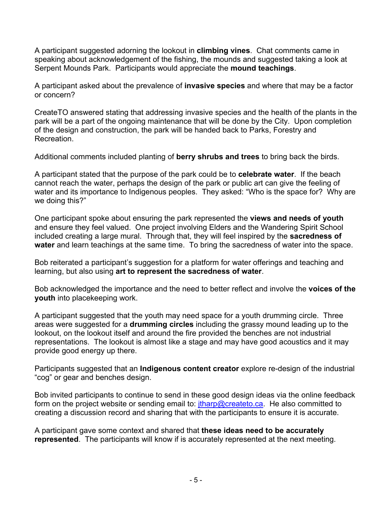A participant suggested adorning the lookout in **climbing vines**. Chat comments came in speaking about acknowledgement of the fishing, the mounds and suggested taking a look at Serpent Mounds Park. Participants would appreciate the **mound teachings**.

A participant asked about the prevalence of **invasive species** and where that may be a factor or concern?

CreateTO answered stating that addressing invasive species and the health of the plants in the park will be a part of the ongoing maintenance that will be done by the City. Upon completion of the design and construction, the park will be handed back to Parks, Forestry and **Recreation** 

Additional comments included planting of **berry shrubs and trees** to bring back the birds.

A participant stated that the purpose of the park could be to **celebrate water**. If the beach cannot reach the water, perhaps the design of the park or public art can give the feeling of water and its importance to Indigenous peoples. They asked: "Who is the space for? Why are we doing this?"

One participant spoke about ensuring the park represented the **views and needs of youth** and ensure they feel valued. One project involving Elders and the Wandering Spirit School included creating a large mural. Through that, they will feel inspired by the **sacredness of water** and learn teachings at the same time. To bring the sacredness of water into the space.

Bob reiterated a participant's suggestion for a platform for water offerings and teaching and learning, but also using **art to represent the sacredness of water**.

Bob acknowledged the importance and the need to better reflect and involve the **voices of the youth** into placekeeping work.

A participant suggested that the youth may need space for a youth drumming circle. Three areas were suggested for a **drumming circles** including the grassy mound leading up to the lookout, on the lookout itself and around the fire provided the benches are not industrial representations. The lookout is almost like a stage and may have good acoustics and it may provide good energy up there.

Participants suggested that an **Indigenous content creator** explore re-design of the industrial "cog" or gear and benches design.

Bob invited participants to continue to send in these good design ideas via the online feedback form on the project website or sending email to:  $\frac{i}{\text{tharp@created} \cdot \text{ca}}$ . He also committed to creating a discussion record and sharing that with the participants to ensure it is accurate.

A participant gave some context and shared that **these ideas need to be accurately represented**. The participants will know if is accurately represented at the next meeting.